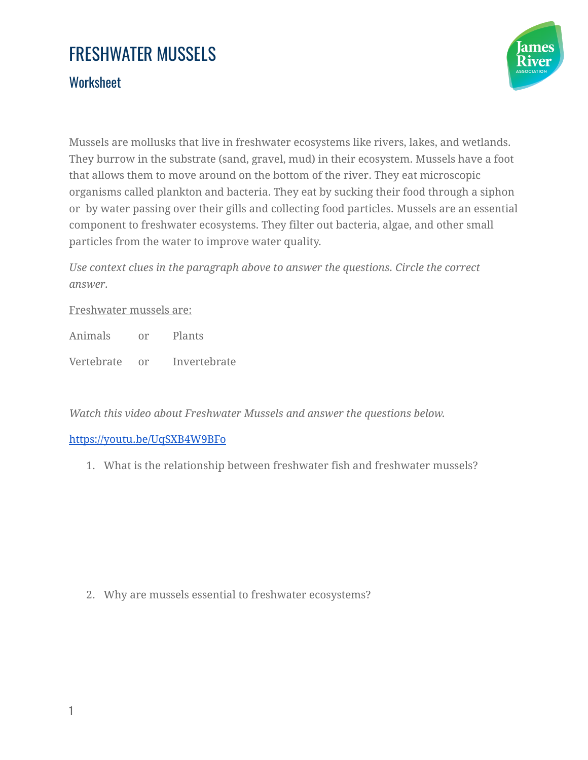# FRESHWATER MUSSELS

### **Worksheet**



Mussels are mollusks that live in freshwater ecosystems like rivers, lakes, and wetlands. They burrow in the substrate (sand, gravel, mud) in their ecosystem. Mussels have a foot that allows them to move around on the bottom of the river. They eat microscopic organisms called plankton and bacteria. They eat by sucking their food through a siphon or by water passing over their gills and collecting food particles. Mussels are an essential component to freshwater ecosystems. They filter out bacteria, algae, and other small particles from the water to improve water quality.

*Use context clues in the paragraph above to answer the questions. Circle the correct answer.*

#### Freshwater mussels are:

Animals or Plants

Vertebrate or Invertebrate

*Watch this video about Freshwater Mussels and answer the questions below.*

### <https://youtu.be/UqSXB4W9BFo>

1. What is the relationship between freshwater fish and freshwater mussels?

2. Why are mussels essential to freshwater ecosystems?